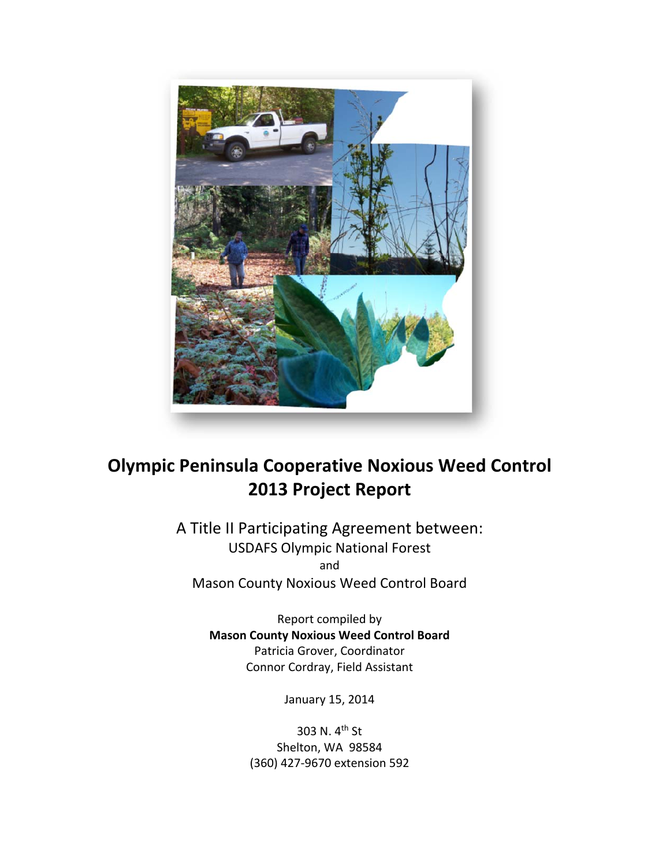

# **Olympic Peninsula Cooperative Noxious Weed Control 2013 Project Report**

A Title II Participating Agreement between: USDAFS Olympic National Forest and Mason County Noxious Weed Control Board

> Report compiled by **Mason County Noxious Weed Control Board** Patricia Grover, Coordinator Connor Cordray, Field Assistant

> > January 15, 2014

303 N. 4th St Shelton, WA 98584 (360) 427‐9670 extension 592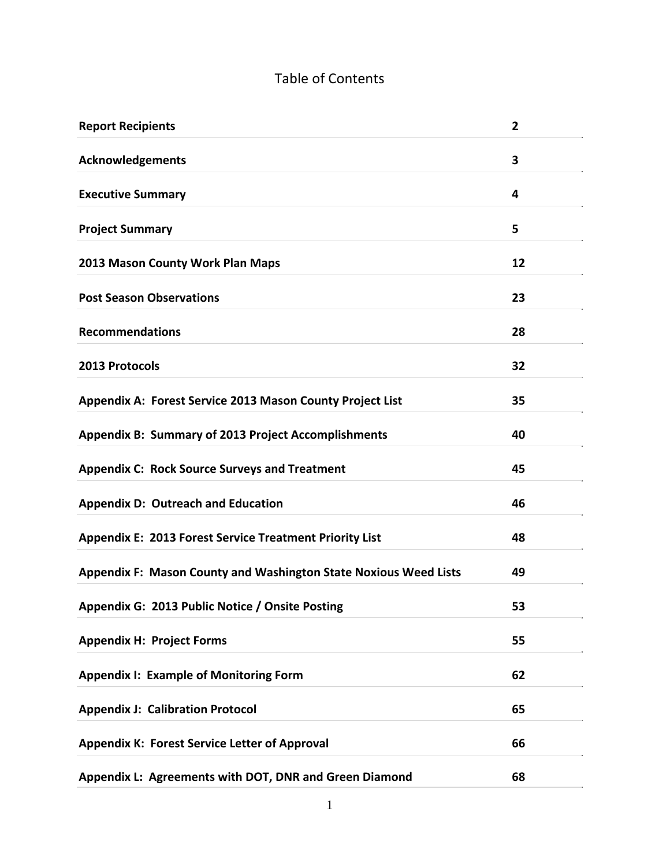## Table of Contents

| <b>Report Recipients</b>                                         | $\overline{2}$ |
|------------------------------------------------------------------|----------------|
| <b>Acknowledgements</b>                                          | 3              |
| <b>Executive Summary</b>                                         | 4              |
| <b>Project Summary</b>                                           | 5              |
| 2013 Mason County Work Plan Maps                                 | 12             |
| <b>Post Season Observations</b>                                  | 23             |
| <b>Recommendations</b>                                           | 28             |
| 2013 Protocols                                                   | 32             |
| Appendix A: Forest Service 2013 Mason County Project List        | 35             |
| <b>Appendix B: Summary of 2013 Project Accomplishments</b>       | 40             |
| <b>Appendix C: Rock Source Surveys and Treatment</b>             | 45             |
| <b>Appendix D: Outreach and Education</b>                        | 46             |
| <b>Appendix E: 2013 Forest Service Treatment Priority List</b>   | 48             |
| Appendix F: Mason County and Washington State Noxious Weed Lists | 49             |
| Appendix G: 2013 Public Notice / Onsite Posting                  | 53             |
| <b>Appendix H: Project Forms</b>                                 | 55             |
| <b>Appendix I: Example of Monitoring Form</b>                    | 62             |
| <b>Appendix J: Calibration Protocol</b>                          | 65             |
| <b>Appendix K: Forest Service Letter of Approval</b>             | 66             |
| Appendix L: Agreements with DOT, DNR and Green Diamond           | 68             |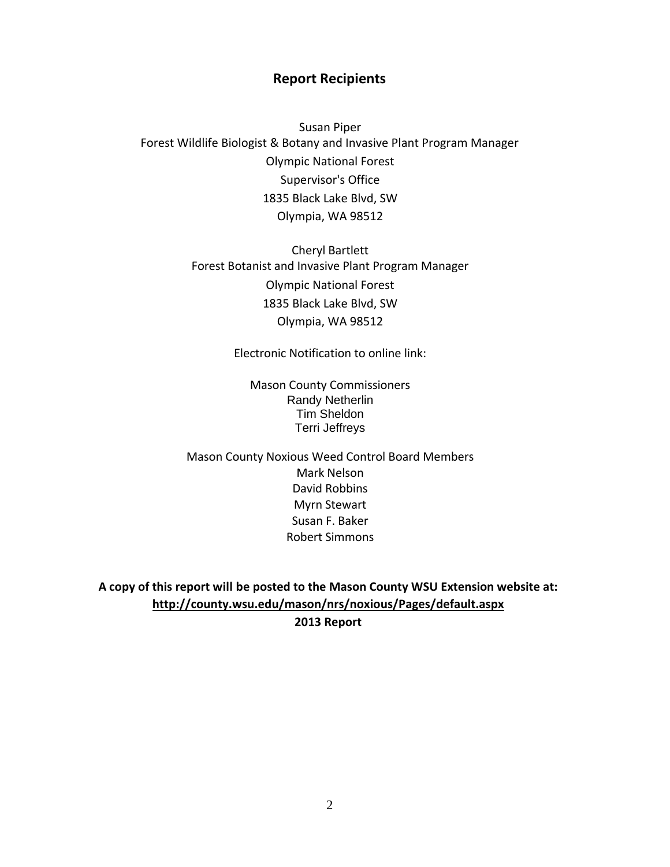## **Report Recipients**

Susan Piper Forest Wildlife Biologist & Botany and Invasive Plant Program Manager Olympic National Forest Supervisor's Office 1835 Black Lake Blvd, SW Olympia, WA 98512

> Cheryl Bartlett Forest Botanist and Invasive Plant Program Manager Olympic National Forest 1835 Black Lake Blvd, SW Olympia, WA 98512

> > Electronic Notification to online link:

Mason County Commissioners Randy Netherlin Tim Sheldon Terri Jeffreys

Mason County Noxious Weed Control Board Members Mark Nelson David Robbins Myrn Stewart Susan F. Baker Robert Simmons

**A copy of this report will be posted to the Mason County WSU Extension website at: http://county.wsu.edu/mason/nrs/noxious/Pages/default.aspx 2013 Report**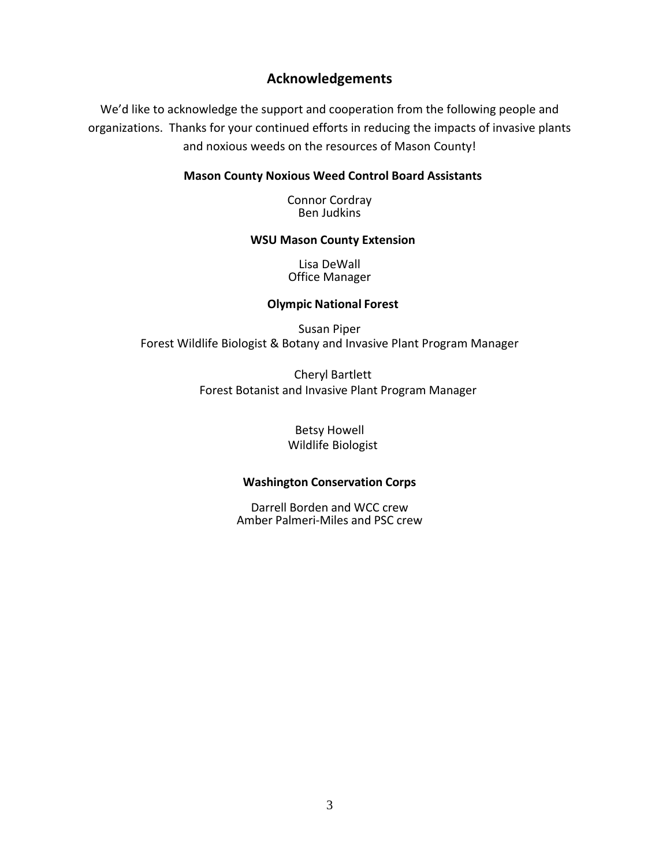## **Acknowledgements**

We'd like to acknowledge the support and cooperation from the following people and organizations. Thanks for your continued efforts in reducing the impacts of invasive plants and noxious weeds on the resources of Mason County!

## **Mason County Noxious Weed Control Board Assistants**

Connor Cordray Ben Judkins

#### **WSU Mason County Extension**

Lisa DeWall Office Manager

### **Olympic National Forest**

Susan Piper Forest Wildlife Biologist & Botany and Invasive Plant Program Manager

> Cheryl Bartlett Forest Botanist and Invasive Plant Program Manager

> > Betsy Howell Wildlife Biologist

#### **Washington Conservation Corps**

Darrell Borden and WCC crew Amber Palmeri‐Miles and PSC crew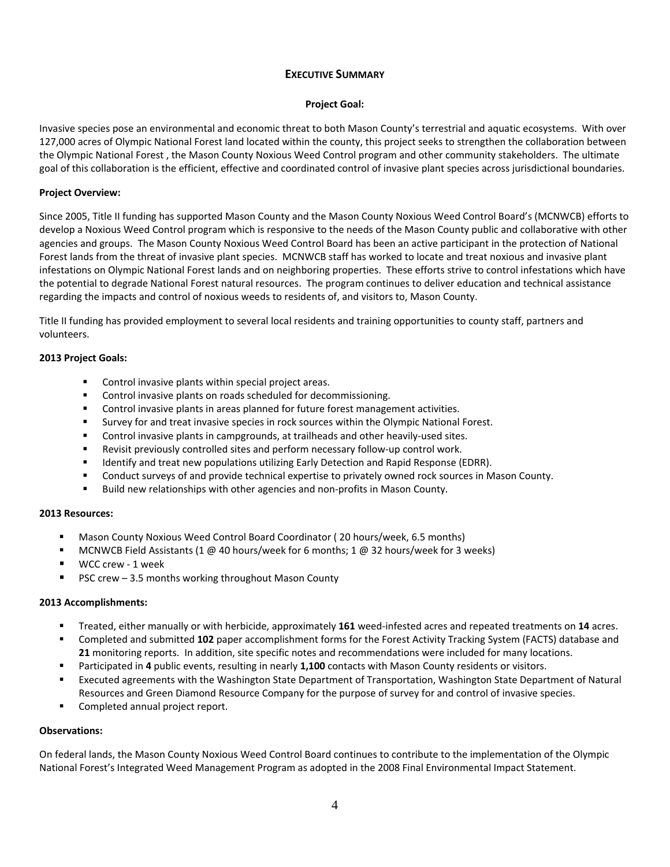#### **EXECUTIVE SUMMARY**

#### **Project Goal:**

Invasive species pose an environmental and economic threat to both Mason County's terrestrial and aquatic ecosystems. With over 127,000 acres of Olympic National Forest land located within the county, this project seeks to strengthen the collaboration between the Olympic National Forest , the Mason County Noxious Weed Control program and other community stakeholders. The ultimate goal of this collaboration is the efficient, effective and coordinated control of invasive plant species across jurisdictional boundaries.

#### **Project Overview:**

Since 2005, Title II funding has supported Mason County and the Mason County Noxious Weed Control Board's (MCNWCB) efforts to develop a Noxious Weed Control program which is responsive to the needs of the Mason County public and collaborative with other agencies and groups. The Mason County Noxious Weed Control Board has been an active participant in the protection of National Forest lands from the threat of invasive plant species. MCNWCB staff has worked to locate and treat noxious and invasive plant infestations on Olympic National Forest lands and on neighboring properties. These efforts strive to control infestations which have the potential to degrade National Forest natural resources. The program continues to deliver education and technical assistance regarding the impacts and control of noxious weeds to residents of, and visitors to, Mason County.

Title II funding has provided employment to several local residents and training opportunities to county staff, partners and volunteers.

#### **2013 Project Goals:**

- Control invasive plants within special project areas.
- **EXECONTROL CONTROL INVERTIST CONTROLLED TEAM** CONTROL CONTROL CONTROL CONTROL CONTROL CONTROL CONTROL CONTROL CONTROL CONTROL CONTROL CONTROL CONTROL CONTROL CONTROL CONTROL CONTROL CONTROL CONTROL CONTROL
- **Control invasive plants in areas planned for future forest management activities.**
- Survey for and treat invasive species in rock sources within the Olympic National Forest.
- Control invasive plants in campgrounds, at trailheads and other heavily-used sites.
- Revisit previously controlled sites and perform necessary follow-up control work.
- Identify and treat new populations utilizing Early Detection and Rapid Response (EDRR).
- **Conduct surveys of and provide technical expertise to privately owned rock sources in Mason County.**
- Build new relationships with other agencies and non-profits in Mason County.

## **2013 Resources:**

- Mason County Noxious Weed Control Board Coordinator ( 20 hours/week, 6.5 months)
- MCNWCB Field Assistants (1 @ 40 hours/week for 6 months; 1 @ 32 hours/week for 3 weeks)
- WCC crew ‐ 1 week
- PSC crew 3.5 months working throughout Mason County

#### **2013 Accomplishments:**

- Treated, either manually or with herbicide, approximately 161 weed-infested acres and repeated treatments on 14 acres.
- Completed and submitted **102** paper accomplishment forms for the Forest Activity Tracking System (FACTS) database and **21** monitoring reports. In addition, site specific notes and recommendations were included for many locations.
- Participated in **4** public events, resulting in nearly **1,100** contacts with Mason County residents or visitors.
- Executed agreements with the Washington State Department of Transportation, Washington State Department of Natural Resources and Green Diamond Resource Company for the purpose of survey for and control of invasive species.
- **Completed annual project report.**

#### **Observations:**

On federal lands, the Mason County Noxious Weed Control Board continues to contribute to the implementation of the Olympic National Forest's Integrated Weed Management Program as adopted in the 2008 Final Environmental Impact Statement.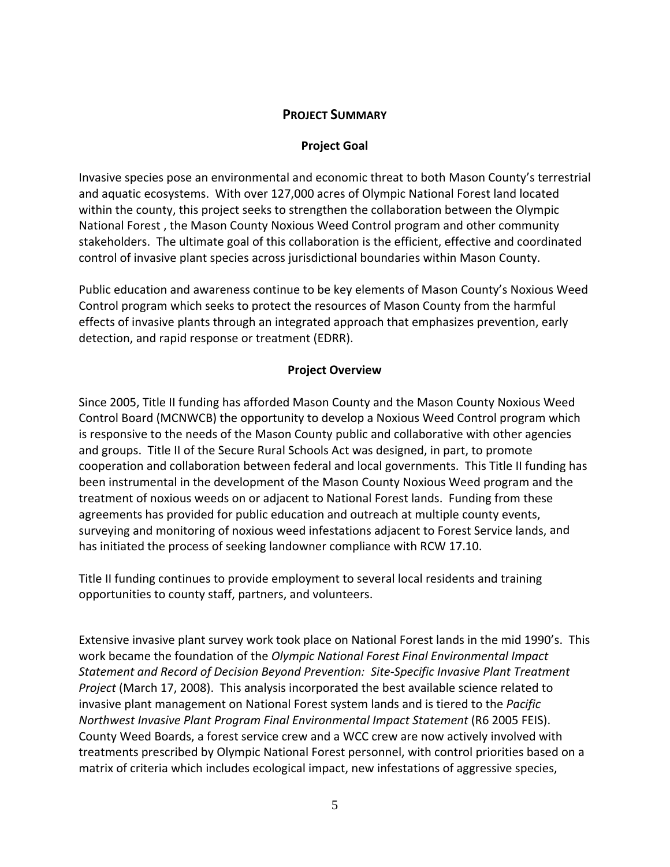## **PROJECT SUMMARY**

## **Project Goal**

Invasive species pose an environmental and economic threat to both Mason County's terrestrial and aquatic ecosystems. With over 127,000 acres of Olympic National Forest land located within the county, this project seeks to strengthen the collaboration between the Olympic National Forest , the Mason County Noxious Weed Control program and other community stakeholders. The ultimate goal of this collaboration is the efficient, effective and coordinated control of invasive plant species across jurisdictional boundaries within Mason County.

Public education and awareness continue to be key elements of Mason County's Noxious Weed Control program which seeks to protect the resources of Mason County from the harmful effects of invasive plants through an integrated approach that emphasizes prevention, early detection, and rapid response or treatment (EDRR).

## **Project Overview**

Since 2005, Title II funding has afforded Mason County and the Mason County Noxious Weed Control Board (MCNWCB) the opportunity to develop a Noxious Weed Control program which is responsive to the needs of the Mason County public and collaborative with other agencies and groups. Title II of the Secure Rural Schools Act was designed, in part, to promote cooperation and collaboration between federal and local governments. This Title II funding has been instrumental in the development of the Mason County Noxious Weed program and the treatment of noxious weeds on or adjacent to National Forest lands. Funding from these agreements has provided for public education and outreach at multiple county events, surveying and monitoring of noxious weed infestations adjacent to Forest Service lands, and has initiated the process of seeking landowner compliance with RCW 17.10.

Title II funding continues to provide employment to several local residents and training opportunities to county staff, partners, and volunteers.

Extensive invasive plant survey work took place on National Forest lands in the mid 1990's. This work became the foundation of the *Olympic National Forest Final Environmental Impact Statement and Record of Decision Beyond Prevention: Site‐Specific Invasive Plant Treatment Project* (March 17, 2008). This analysis incorporated the best available science related to invasive plant management on National Forest system lands and is tiered to the *Pacific Northwest Invasive Plant Program Final Environmental Impact Statement* (R6 2005 FEIS). County Weed Boards, a forest service crew and a WCC crew are now actively involved with treatments prescribed by Olympic National Forest personnel, with control priorities based on a matrix of criteria which includes ecological impact, new infestations of aggressive species,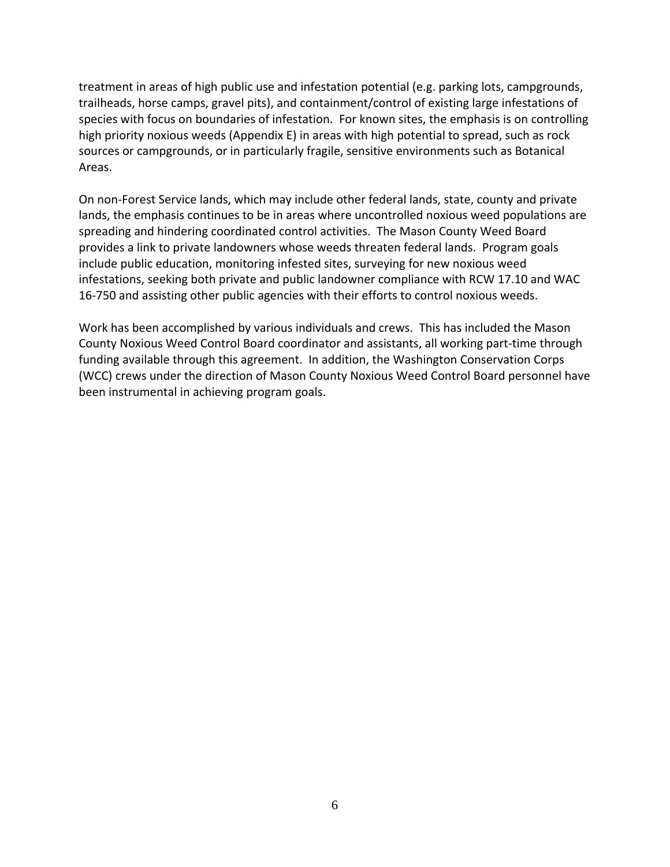treatment in areas of high public use and infestation potential (e.g. parking lots, campgrounds, trailheads, horse camps, gravel pits), and containment/control of existing large infestations of species with focus on boundaries of infestation. For known sites, the emphasis is on controlling high priority noxious weeds (Appendix E) in areas with high potential to spread, such as rock sources or campgrounds, or in particularly fragile, sensitive environments such as Botanical Areas.

On non‐Forest Service lands, which may include other federal lands, state, county and private lands, the emphasis continues to be in areas where uncontrolled noxious weed populations are spreading and hindering coordinated control activities. The Mason County Weed Board provides a link to private landowners whose weeds threaten federal lands. Program goals include public education, monitoring infested sites, surveying for new noxious weed infestations, seeking both private and public landowner compliance with RCW 17.10 and WAC 16-750 and assisting other public agencies with their efforts to control noxious weeds.

Work has been accomplished by various individuals and crews. This has included the Mason County Noxious Weed Control Board coordinator and assistants, all working part‐time through funding available through this agreement. In addition, the Washington Conservation Corps (WCC) crews under the direction of Mason County Noxious Weed Control Board personnel have been instrumental in achieving program goals.